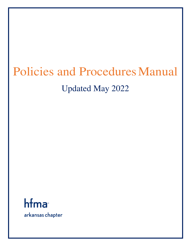# Policies and Procedures Manual Updated May 2022

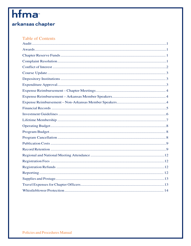# hfma

## arkansas chapter

#### **Table of Contents**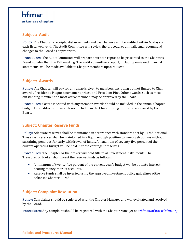## hfma arkansas chapter

#### **Subject: Audit**

**Policy:** The Chapter's receipts, disbursements and cash balance will be audited within 60 days of each fiscal year-end. The Audit Committee will review the procedures annually and recommend changes to the Board as appropriate.

**Procedures:** The Audit Committee will prepare a written report to be presented to the Chapter's Board no later than the Fall meeting. The audit committee's report, including reviewed financial statements, will be made available to Chapter members upon request.

#### **Subject: Awards**

**Policy:** The Chapter will pay for any awards given to members, including but not limited to Chair awards, President's Plaque, tournament prizes, and President Pins. Other awards, such as most outstanding member and most active member, may be approved by the Board.

**Procedures:** Costs associated with any member awards should be included in the annual Chapter budget. Expenditures for awards not included in the Chapter budget must be approved by the Board.

#### **Subject: Chapter Reserve Funds**

**Policy:** Adequate reserves shall be maintained in accordance with standards set by HFMA National. These cash reserves shall be maintained in a liquid enough position to meet cash outlays without sustaining penalties for early withdrawal of funds. A maximum of seventy-five percent of the current operating budget will be held in these contingent reserves.

**Procedures:** The Chapter or the broker will hold title to all investment instruments. The Treasurer or broker shall invest the reserve funds as follows:

- A minimum of twenty-five percent of the current year's budget will be put into interestbearing money-market accounts.
- Reserve funds shall be invested using the approved investment policy guidelines of the Arkansas Chapter HFMA.

#### **Subject: Complaint Resolution**

**Policy:** Complaints should be registered with the Chapter Manager and will evaluated and resolved by the Board.

**Procedures:** Any complaint should be registered with the Chapter Manager at arhfma@arkansashfma.org.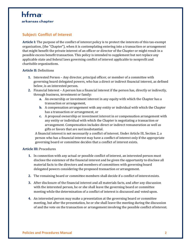## hfma arkansas chapter

#### **Subject: Conflict of Interest**

**Article I:** The purpose of the conflict of interest policy is to protect the interests of this tax-exempt organization, (the "Chapter"), when it is contemplating entering into a transaction or arrangement that might benefit the private interest of an officer or director of the Chapter or might result in a possible excess benefit transaction. This policy is intended to supplement but not replace any applicable state and federal laws governing conflict of interest applicable to nonprofit and charitable organizations.

#### **Article II:** Definitions

- **1.** Interested Person Any director, principal officer, or member of a committee with governing board delegated powers, who has a direct or indirect financial interest, as defined below, is an interested person.
- **2.** Financial Interest A person has a financial interest if the person has, directly or indirectly, through business, investment or family:
	- **a.** An ownership or investment interest in any equity with which the Chapter has a transaction or arrangement,
	- **b.** A compensation arrangement with any entity or individual with which the Chapter has a transaction or arrangement, or
	- **c.** A proposal ownership or investment interest in or compensation arrangement with any entity or individual with which the Chapter is negotiating a transaction or arrangement. Compensation includes direct or indirect remuneration as well as gifts or favors that are not insubstantial.

A financial interest is not necessarily a conflict of interest. Under Article III, Section 2, a person who has a financial interest may have a conflict of interest only if the appropriate governing board or committee decides that a conflict of interest exists.

#### **Article III:** Procedures

- **1.** In connection with any actual or possible conflict of interest, an interested person must disclose the existence of the financial interest and be given the opportunity to disclose all material facts to the directors and members of committees with governing board delegated powers considering the proposed transaction or arrangement.
- **2.** The remaining board or committee members shall decide if a conflict of interest exists.
- **3.** After disclosure of the financial interest and all materials facts, and after any discussion with the interested person, he or she shall leave the governing board or committee meeting while the determination of a conflict of interest is discussed and voted upon.
- **4.** An interested person may make a presentation at the governing board or committee meeting, but after the presentation, he or she shall leave the meeting during the discussion of and the vote on the transaction or arrangement involving the possible conflict of interest.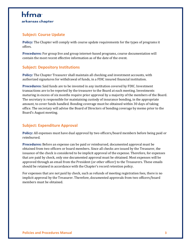#### **Subject: Course Update**

**Policy:** The Chapter will comply with course update requirements for the types of programs it offers.

**Procedures:** For group live and group internet-based programs, course documentation will contain the most recent effective information as of the date of the event.

#### **Subject: Depository Institutions**

**Policy:** The Chapter Treasurer shall maintain all checking and investment accounts, with authorized signatures for withdrawal of funds, in a FDIC insured financial institution.

**Procedures:** Said funds are to be invested in any institution covered by FDIC. Investment transactions are to be reported by the treasurer to the Board at each meeting. Investments maturing in excess of six months require prior approval by a majority of the members of the Board. The secretary is responsible for maintaining custody of insurance bonding, in the appropriate amount, to cover funds handled. Bonding coverage must be obtained within 30 days of taking office. The secretary will advise the Board of Directors of bonding coverage by memo prior to the Board's August meeting.

#### **Subject: Expenditure Approval**

**Policy:** All expenses must have dual approval by two officers/board members before being paid or reimbursed.

**Procedures:** Before an expense can be paid or reimbursed, documented approval must be obtained from two officers or board members. Since all checks are issued by the Treasurer, the issuance of the check is considered to be implicit approval of the expense. Therefore, for expenses that are paid by check, only one documented approval must be obtained. Most expenses will be approved through an email from the President (or other officer) to the Treasurers. These emails should be retained in accordance with the Chapter's record retention policy.

For expenses that are not paid by check, such as refunds of meeting registration fees, there is no implicit approval by the Treasurer. Therefore, documented approvals from two officers/board members must be obtained.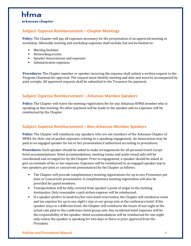#### **Subject: Expense Reimbursement – Chapter Meetings**

**Policy:** The Chapter will pay all expenses necessary for the presentation of an approved meeting or workshop. Allowable meeting and workshop expenses shall include, but not be limited to:

- Meeting facilities
- Networking events
- Speaker honorariums and expenses
- Administrative expenses

**Procedures:** The Chapter member or speaker incurring the expense shall submit a written request to the Program Chairman for approval. The request must identify meeting and date and must be accompanied by paid receipts. All approved requests shall be submitted to the Treasurer for payment.

#### **Subject: Expense Reimbursement – Arkansas Member Speakers**

**Policy:** The Chapter will waive the meeting registration fee for any Arkansas HFMA member who is speaking at that meeting. No other payment will be made to the speaker and no expenses will be reimbursed by the Chapter.

#### **Subject: Expense Reimbursement – Non-Arkansas Member Speakers**

**Policy:** The Chapter will reimburse any speakers who are not members of the Arkansas Chapter of HFMA for their out-of-pocket expenses relating to a speaking engagement. An honorarium may be paid to an engaged speaker for his or her presentation if authorized according to procedures.

**Procedures:** Each speaker should be asked to make arrangements for all personal travel except hotel accommodations. Hotel accommodations, meeting rooms and audio visual aids will be coordinated and arranged for by the Chapter. Prior to engagement, a speaker should be asked to give an estimate of his or her expenses. Expenses will be reimbursed to an engaged speaker (up to two speakers per joint or concurrent presentation) by the Chapter as follows:

- The Chapter will provide complimentary meeting registrations for up to two Presenters per Joint or Concurrent presentation. A complimentary meeting registration will also be provided for panel members.
- Transportation will be fully covered from speaker's point of origin to the meeting destination. Only reasonable coach airfare expense will be reimbursed.
- If a speaker prefers to book his/her own hotel reservation, the Chapter will reimburse room and tax expense for up to one night's stay at our group rate at the conference hotel. If the speaker stays in a different hotel, the Chapter will reimburse the lesser of one night at the actual rate paid or the conference hotel group rate. Any incidental hotel expenses will be the responsibility of the speaker. Hotel accommodations will be reimbursed for one night only unless the speaker is speaking for two days or there is prior approval from the President.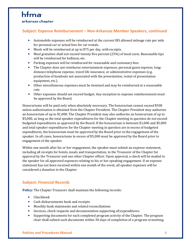## hfma

#### arkansas chapter

#### **Subject: Expense Reimbursement – Non-Arkansas Member Speakers, continued**

- Automobile expenses will be reimbursed at the current IRS allowed mileage rate per mile for personal car or actual fees for car rentals.
- Meals will be reimbursed at up to \$75 per day, with receipts.
- Meal gratuities shall not exceed twenty-five percent (25%) of meal costs. Reasonable tips will be reimbursed for bellmen, etc.
- Parking expenses will be reimbursed for reasonable and customary fees.
- The Chapter does not reimburse entertainment expenses, personal guest expense, longdistance telephone expense, travel life insurance, or administrative expenses (e.g. production of handouts not associated with the presentation, rental of presentation equipment, etc.).
- Other miscellaneous expenses must be itemized and may be reimbursed at a reasonable rate.
- Other expenses should not exceed budget. Any exception to expense reimbursement must be approved by the Board.

Honorariums will be paid only when absolutely necessary. The honorarium cannot exceed \$500 unless authorization is obtained from the Chapter President. The Chapter President may authorize an honorarium of up to \$1,000. The Chapter President may also authorize an honorarium of up to \$5,000, as long as the total speaker expenditures for the Chapter meeting in question do not exceed budgeted expenditures as approved by the Board. If the honorarium is between \$1,000 and \$5,000 and total speaker expenditures for the Chapter meeting in question are in excess of budgeted expenditures, the honorarium must be approved by the Board prior to the engagement of the speaker. In all cases, honorariums in excess of \$5,000 must be approved by the Board prior to engagement of the speaker.

Within one month after his or her engagement, the speaker must submit an expense statement, including all receipts for hotels, meals and transportation, to the Treasurer of the Chapter for approval by the Treasurer and one other Chapter officer. Upon approval, a check will be mailed to the speaker for all approved expenses relating to his or her speaking engagement. If an expense statement has not been received within one month of the event, all speaker expenses will be considered a donation to the Chapter.

#### **Subject: Financial Records**

**Policy:** The Chapter Treasurer shall maintain the following records:

- Checkbook
- Cash disbursements book and receipts
- Monthly bank statements and related reconciliations
- Invoices, check requests and documentation supporting all expenditures
- Supporting documents for each completed program activity of the Chapter. The program chair shall submit such documents within 30 days of completion of a program or meeting.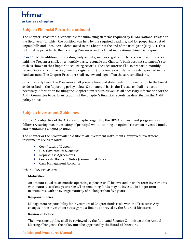### hfma arkansas chapter

#### **Subject: Financial Records, continued**

The Chapter Treasurer is responsible for submitting all forms required by HFMA National related to the fiscal year for which the position was held by the required deadline, and for preparing a list of unpaid bills and uncollected debts owed to the Chapter at the end of the fiscal year (May 31). This list must be provided to the incoming Treasurer and included in the Annual Financial Report.

**Procedure:** In addition to recording daily activity, such as registration fees received and invoices paid, the Treasurer shall, on a monthly basis, reconcile the Chapter's bank account statement(s) to cash as shown in the Chapter's accounting records. The Treasurer shall also prepare a monthly reconciliation of volume (i.e., meeting registration) to revenue recorded and cash deposited in the bank account. The Chapter President shall review and sign off on these reconciliations.

On a quarterly basis, the Treasurer shall prepare financial statements for presentation to the board as described in the Reporting policy below. On an annual basis, the Treasurer shall prepare all necessary information for filing the Chapter's tax return, as well as all necessary information for the Audit Committee to perform its audit of the Chapter's financial records, as described in the Audit policy above.

#### **Subject: Investment Guidelines**

**Policy:** The objective of the Arkansas Chapter regarding the HFMA's investment program is as follows: Assuring maximum safety of principal while attaining an optimal return on invested funds, and maintaining a liquid position.

The Chapter or the broker will hold title to all investment instruments. Approved investment instruments are as follows:

- Certificates of Deposit
- U. S. Government Securities
- Repurchase Agreements
- Corporate Bonds or Notes (Commercial Paper)
- Cash Management Accounts

Other Policy Provisions:

#### **Maturities**

An amount equal to six months operating expenses shall be invested in short-term investments with maturities of one year or less. The remaining funds may be invested in longer term instruments, with an average maturity of no longer than five years.

#### **Responsibilities**

Management responsibility for investment of Chapter funds rests with the Treasurer. Any changes in the investment strategy must first be approved by the Board of Directors.

#### **Review of Policy**

The investment policy shall be reviewed by the Audit and Finance Committee at the Annual Meeting. Changes to the policy must be approved by the Board of Directors.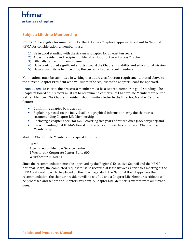#### **Subject: Lifetime Membership**

**Policy:** To be eligible for nomination for the Arkansas Chapter's approval to submit to National HFMA for consideration, a member must:

- 1) Be in good standing with the Arkansas Chapter for at least ten years.
- 2) A past President and recipient of Medal of Honor of the Arkansas Chapter
- 3) Officially retired from employment
- 4) Have contributed significant efforts toward the Chapter's viability and educational mission.
- 5) Have a majority vote in favor by the current chapter Board members

Nominations must be submitted in writing that addresses first four requirements stated above to the current Chapter President who will submit the request to the Chapter Board for approval.

**Procedures:** To initiate the process, a member must be a Retired Member in good standing. The Chapter's Board of Directors must act to recommend conferral of Chapter Life Membership on the Retired Member. The Chapter President should write a letter to the Director, Member Service Center:

- Confirming chapter board action;
- Explaining, based on the individual's biographical information, why the chapter is recommending Chapter Life Membership;
- Enclosing a chapter check for \$275 covering five years of retired dues (\$55 per year); and
- Recommending that HFMA's Board of Directors approve the conferral of Chapter Life Membership.

Mail the Chapter Life Membership request letter to:

HFMA Attn: Director, Member Service Center 2 Westbrook Corporate Center, Suite 600 Westchester, IL 60154

Since the recommendation must be approved by the Regional Executive Council and the HFMA National Board, the completed request must be received at least six weeks prior to a meeting of the HFMA National Board to be placed on the Board agenda. If the National Board approves the recommendation, the chapter president will be notified and a Chapter Life Member certificate will be processed and sent to the Chapter President. A Chapter Life Member is exempt from all further dues.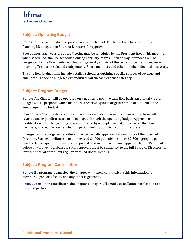#### **Subject: Operating Budget**

**Policy:** The Treasurer shall prepare an operating budget. The budget will be submitted, at the Planning Meeting, to the Board of Directors for approval.

**Procedures:** Each year, a Budget Meeting may be scheduled by the President-Elect. This meeting, when scheduled, shall be scheduled during February, March, April or May. Attendees will be designated by the President-Elect, but will generally consist of the current President, Treasurer, Incoming Treasurer, selected chairpersons, Board members and other members deemed necessary.

The line item budget shall include detailed schedules outlining specific sources of revenue and enumerating specific budgeted expenditures within each expense category.

#### **Subject: Program Budget**

**Policy:** The Chapter will be operated on a neutral to positive cash flow basis. An annual Program Budget will be prepared which maintains a reserve equal to or greater than one-fourth of the annual operating budget.

**Procedures:** The Chapter accounts for revenues and disbursements on an accrual basis. All revenue and expenditures are to be managed through the operating budget. Approval or modification of the budget may be accomplished by a simple majority approval of the Board members, at a regularly scheduled or special meeting at which a quorum is present.

Emergency non-budget expenditures may be verbally approved by a majority of the Board of Directors. Such expenditures must not exceed \$1,000 per submission or \$2,500 aggregate per quarter. Each expenditure must be supported by a written memo and approved by the President before any money is disbursed. Such approvals must be submitted to the full Board of Directors for formal approval at the next regular or called Board Meeting.

#### **Subject: Program Cancellation**

**Policy:** If a program is canceled, the Chapter will timely communicate this information to members, sponsors, faculty and any other registrants.

**Procedures:** Upon cancellation, the Chapter Manager will email a cancellation notification to all required parties.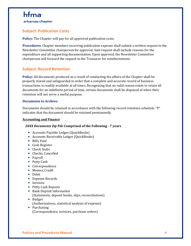#### **Subject: Publication Costs**

**Policy:** The Chapter will pay for all approved publication costs.

**Procedures:** Chapter members incurring publication expense shall submit a written request to the Newsletter Committee chairperson for approval. Said request shall include reasons for the expenditure and all supporting documentation. Upon approval, the Newsletter Committee chairperson will forward the request to the Treasurer for reimbursement.

#### **Subject: Record Retention**

**Policy:** All documents produced as a result of conducting the affairs of the Chapter shall be properly stored and safeguarded in order that a complete and accurate record of business transactions is readily available at all times. Recognizing that no valid reason exists to retain all documents for an indefinite period of time, certain documents shall be disposed of when their retention will not serve a useful purpose.

#### **Documents to Archive:**

Documents should be retained in accordance with the following record retention schedule. "P" indicates that the document should be retained permanently.

#### **Accounting and Finance**

#### *20XX Documents Zip File* **Comprised of the Following - 7 years**

- Accounts Payable Ledger (QuickBooks)
- Accounts Receivable Ledger (QuickBooks)
- Bills, Paid
- Cash Register
- Check Stubs
- Checks, Cancelled
- Payroll
- Petty Cash
- Correspondence
- Memos, Credit
- Debit
- Expense Records
- Invoices
- Petty Cash Reports
- Bank Deposit Information (Statements, deposit books, slips, reconciliations)
- Budget (Authorizations, statistical analysis of expense)
- Purchasing (Correspondence, invoices, purchase orders)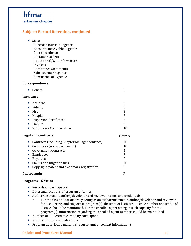## hfma<sup>-</sup>

arkansas chapter

#### **Subject: Record Retention, continued**

• Sales

Purchase Journal/Register Accounts Receivable Register Correspondence Customer Orders Educational/CPE Information Invoices Remittance Statements Sales Journal/Register Summaries of Expense

#### **Correspondence**

| • General        |  |
|------------------|--|
| <u>Insurance</u> |  |
| • Accident       |  |

| nuuuu                     | u  |
|---------------------------|----|
| • Fidelity                |    |
| $\bullet$ Fire            | 8  |
| • Hospital                |    |
| • Inspection Certificates |    |
| • Liability               |    |
| • Workmen's Compensation  | 11 |

#### **Legal and Contracts** *(years)*

| • Contracts (including Chapter Manager contract) | 10 |
|--------------------------------------------------|----|
| • Customers (non-government)                     | 10 |
| • Government Contracts                           | 4  |
| • Employees                                      | D  |
| • Royalties                                      |    |
| • Claims and litigation files                    | 10 |
| • Copyright, patent and trademark registration   | р  |
| <u>Photographs</u>                               |    |

#### **Programs – 5 Years**

- Records of participation
- Dates and locations of program offerings
- Author/instructor, author/developer and reviewer names and credentials
	- For the CPA and tax attorney acting as an author/instructor, author/developer and reviewer for accounting, auditing or tax program(s), the state of licensure, license number and status of license should be maintained. For the enrolled agent acting in such capacity for tax program(s), information regarding the enrolled agent number should be maintained
- Number of CPE credits earned by participants
- Results of program evaluations
- Program descriptive materials (course announcement information)

#### **Policies and Procedures Manual 10**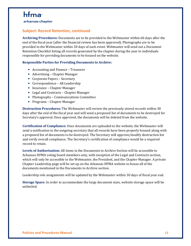arkansas chapter

#### **Subject: Record Retention, continued**

**Archiving Procedures:** Documents are to be provided to the Webmaster within 60 days after the end of the fiscal year (after the financial review has been approved). Photographs are to be provided to the Webmaster within 30 days of each event. Webmaster will send out a Document Retention Checklist listing all records generated by the chapter during the year to individuals responsible for providing documents to be housed on the website.

#### **Responsible Parties for Providing Documents to Archive:**

- Accounting and Finance Treasurer
- Advertising Chapter Manager
- Corporate Papers Secretary
- Correspondence All Leadership
- Insurance Chapter Manager
- Legal and Contracts Chapter Manager
- Photographs Communications Committee
- Programs Chapter Manager

**Destruction Procedures:** The Webmaster will review the previously stored records within 30 days after the end of the fiscal year and will send a proposed list of documents to be destroyed for Secretary's approval. Once approved, the documents will be deleted from the website.

**Certification of Compliance:** Once documents are uploaded to the website, the Webmaster will send a notification to the outgoing secretary that all records have been properly housed along with a proposed list of documents to be destroyed. The Secretary will approve/modify destruction list and verify overall compliance. The Secretary's certification of compliance would be a required record to retain.

**Levels of Authorization:** All items in the Documents to Archive Section will be accessible to Arkansas HFMA voting board members only, with exception of the Legal and Contracts section, which will only be accessible to the Webmaster, the President, and the Chapter Manager. A private Chapter Leadership page will be set up on the Arkansas HFMA website to house all of the documents mentioned in the Documents to Archive section.

Leadership role assignments will be updated by the Webmaster within 30 days of fiscal year end.

**Storage Space:** In order to accommodate the large document sizes, website storage space will be unlimited.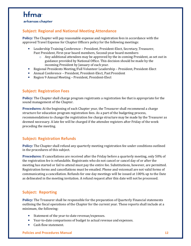#### arkansas chapter

#### **Subject: Regional and National Meeting Attendance**

**Policy:** The Chapter will pay reasonable expense and registration fees in accordance with the approved Travel Expense for Chapter Officers policy for the following meetings:

- Leadership Training Conference President, President-Elect, Secretary, Treasurer, Past President, First-year board members, Second-year board members
	- $\circ$  Any additional attendees may be approved by the in-coming President, as set out in guidance provided by National Office. This decision should be made by the incoming President by January of each year.
- Regional Presidents Meeting/Fall Volunteer Leadership President, President-Elect
- Annual Conference President, President-Elect, Past President
- Region 9 Annual Meeting President, President-Elect

#### **Subject: Registration Fees**

**Policy:** The Chapter shall charge program registrants a registration fee that is appropriate for the sound management of the Chapter.

**Procedures:** At the beginning of each Chapter year, the Treasurer shall recommend a charge structure for education program registration fees. As a part of the budgeting process, recommendations to change the registration fee charge structure may be made by the Treasurer as deemed necessary. A late fee will be charged if the attendee registers after Friday of the week preceding the meeting.

#### **Subject: Registration Refunds**

**Policy:** The Chapter shall refund any quarterly meeting registration fee under conditions outlined in the procedures of this subject.

**Procedures:** If cancellations are received after the Friday before a quarterly meeting, only 50% of the registration fee is refundable. Registrants who do not cancel or cancel day of or after the meeting has started or fail to attend must pay the entire fee. Substitutions, however, are permitted. Registration forms and cancellations must be emailed. Phone and voicemail are not valid forms of communicating a cancellation. Refunds for one day meetings will be issued at 100% up to the Date as delineated in the meeting invitation. A refund request after this date will not be processed.

#### **Subject: Reporting**

**Policy:** The Treasurer shall be responsible for the preparation of Quarterly Financial statements outlining the fiscal operations of the Chapter for the current year. These reports shall include at a minimum, the following:

- Statement of the year-to-date revenue/expenses.
- Year-to-date comparisons of budget to actual revenue and expenses.
- Cash flow statement.

#### **Policies and Procedures Manual 12**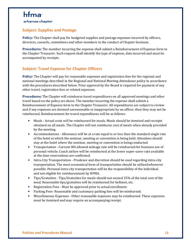## hfma<sup>-</sup>

arkansas chapter

#### **Subject: Supplies and Postage**

**Policy:** The Chapter shall pay for budgeted supplies and postage expenses incurred by officers, directors, councils, committees and other members in the conduct of Chapter business.

**Procedures:** The member incurring the expense shall submit a Reimbursement of Expense form to the Chapter Treasurer. Such request shall identify the type of expense, date incurred and must be accompanied by receipts.

#### **Subject: Travel Expense for Chapter Officers**

**Policy:** The Chapter will pay for reasonable expenses and registration fees for the regional and national meetings described in the Regional and National Meeting Attendance policy in accordance with the procedures described below. Prior approval by the Board is required for payment of any other travel, registration fees or related expenses.

**Procedures:** The Chapter will reimburse travel expenditures on all approved meetings and other travel based on the policy set above. The member incurring the expense shall submit a Reimbursement of Expense form to the Chapter Treasurer. All expenditures are subject to review and if any expenses are deemed unreasonable or inappropriate by an officer, then they may not be reimbursed. Reimbursement for travel expenditures will be as follows:

- Meals Actual costs will be reimbursed for meals. Meals should be itemized and receipts obtained on all meals. The Chapter will not reimburse cost of meals when already provided by the meeting.
- Accommodations Allowance will be at a rate equal to or less than the standard single rate of the hotel at which the seminar, meeting or convention is being held. Attendees should stay at the hotel where the seminar, meeting or convention is being conducted.
- Transportation Current IRS allowed mileage rate will be reimbursed for business use of personal vehicle. Coach airfare will be reimbursed at the lower super-saver rate available at the time reservations are confirmed.
- Intra-City Transportation Prudence and discretion should be used regarding intra-city transportation. The most economical form of transportation should be utilized whenever possible. Personal intra-city transportation will be the responsibility of the individual and not eligible for reimbursement by HFMA.
- Tips/Gratuities Tips/Gratuities for meals should not exceed 25% of the total cost of the meal. Reasonable tips/gratuities will be reimbursed for bellmen, etc.
- Registration Fees Must be approved prior to actual enrollment.
- Parking Fees- Reasonable and customary parking fees will be reimbursed.
- Miscellaneous Expenses Other reasonable expenses may be reimbursed. These expenses must be itemized and may require an accompanying receipt.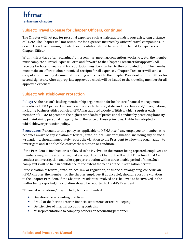## hfma<sup>-</sup>

arkansas chapter

#### **Subject: Travel Expense for Chapter Officers, continued**

The Chapter will not pay for personal expenses such as haircuts, laundry, souvenirs, long distance calls, etc. The Chapter will not reimburse for expenses incurred by Officers' travel companions. In case of travel companions, detailed documentation should be submitted to justify expenses of the Chapter Officer.

Within thirty days after returning from a seminar, meeting, convention, workshop, etc., the member must complete a Travel Expense Form and forward to the Chapter Treasurer for approval. All receipts for hotels, meals and transportation must be attached to the completed form. The member must make an effort to obtain itemized receipts for all expenses. Chapter Treasurer will send a copy of all supporting documentation along with check to the Chapter President or other Officer for second signature. After appropriate approval, a check will be issued to the traveling member for all approved expenses.

#### **Subject: Whistleblower Protection**

**Policy:** As the nation's leading membership organization for healthcare financial management executives, HFMA prides itself on its adherence to federal, state, and local laws and/or regulations, including business ethics policies. HFMA has adopted a Code of Ethics, which requires each member of HFMA to promote the highest standards of professional conduct by practicing honesty and maintaining personal integrity. In furtherance of these principles, HFMA has adopted a whistleblower protection policy.

**Procedures:** Pursuant to this policy, as applicable to HFMA itself, any employee or member who becomes aware of any violation of federal, state, or local law or regulation, including any financial wrongdoing, should immediately report the violation to the President to allow the organization to investigate and, if applicable, correct the situation or condition.

If the President is involved or is believed to be involved in the matter being reported, employees or members may, in the alternative, make a report to the Chair of the Board of Directors. HFMA will conduct an investigation and take appropriate action within a reasonable period of time. Such complaints will be held in confidence to the extent the needs of the investigation permit.

If the violation of federal, state, or local law or regulation, or financial wrongdoing, concerns an HFMA chapter, the member (or the chapter employee, if applicable), should report the violation to the Chapter President. If the Chapter President is involved or is believed to be involved in the matter being reported, the violation should be reported to HFMA's President.

"Financial wrongdoing" may include, but is not limited to:

- Questionable accounting practices;
- Fraud or deliberate error in financial statements or recordkeeping;
- Deficiencies of internal accounting controls;
- Misrepresentations to company officers or accounting personnel